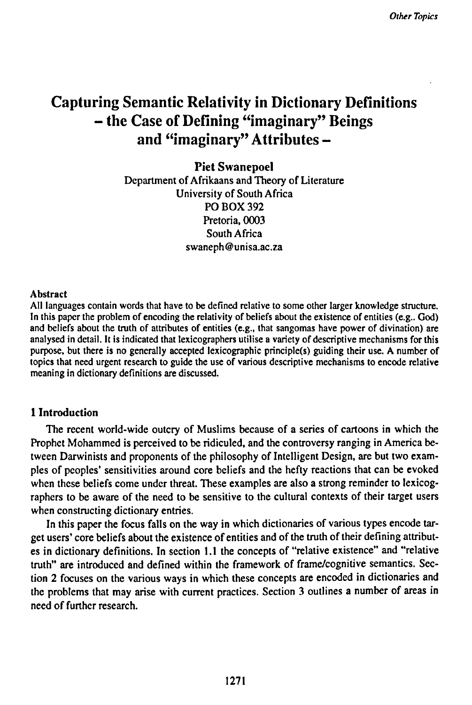# **Capturing Semantic Relativity in Dictionary Definitions - the Case of Defining "imaginary" Beings and "imaginary" Attributes -**

**Piet Swanepoel** Department of Afrikaans and Theory of Literature University of South Africa PO BOX 392 Pretoria, 0003 South Africa swaneph@unisa.ac.za

#### Abstract

All languages contain words that have to be defined relative to some other larger knowledge structure. In this paper the problem of encoding the relativity of beliefs about the existence of entities (e.g.. God) and beliefs about the truth of attributes of entities (e.g., that sangomas have power of divination) are analysed in detail. It is indicated that lexicographers utilise a variety of descriptive mechanisms for this purpose, but there is no generally accepted lexicographic principle(s) guiding their use. A number of topics that need urgent research to guide the use of various descriptive mechanisms to encode relative meaning in dictionary definitions are discussed.

## **1 Introduction**

The recent world-wide outcry of Muslims because of a series of cartoons in which the Prophet Mohammed is perceived to be ridiculed, and the controversy ranging in America between Darwinists and proponents of the philosophy of Intelligent Design, are but two examples of peoples' sensitivities around core beliefs and the hefty reactions that can be evoked when these beliefs come under threat. These examples are also a strong reminder to lexicographers to be aware of the need to be sensitive to the cultural contexts of their target users when constructing dictionary entries.

In this paper the focus falls on the way in which dictionaries of various types encode target users' core beliefs about the existence of entities and of the truth of their defining attributes in dictionary definitions. In section 1.1 the concepts of "relative existence" and "relative truth" are introduced and defined within the framework of frame/cognitive semantics. Section 2 focuses on the various ways in which these concepts are encoded in dictionaries and the problems that may arise with current practices. Section 3 outlines a number of areas in need of further research.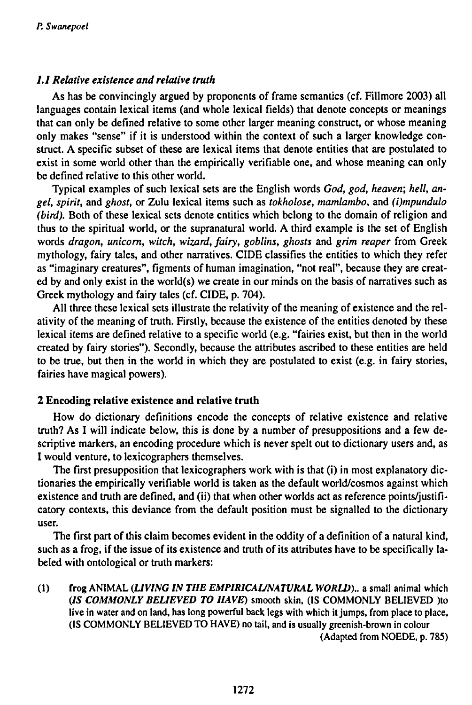# *1.1 Relative existence and relative truth*

As has be convincingly argued by proponents of frame semantics (cf. Fillmore 2003) all languages contain lexical items (and whole lexical fields) that denote concepts or meanings that can only be defined relative to some other larger meaning construct, or whose meaning only makes "sense" if it is understood within the context of such a larger knowledge construct. A specific subset of these are lexical items that denote entities that are postulated to exist in some world other than the empirically verifiable one, and whose meaning can only be defined relative to this other world.

Typical examples of such lexical sets are the English words *God, god, heaven; hell, angel, spirit,* and *ghost,* or Zulu lexical items such as *tokholose, mamlambo,* and *(i)mpundulo (bird).* Both of these lexical sets denote entities which belong to the domain of religion and thus to the spiritual world, or the supranatural world. A third example is the set of English words *dragon, unicorn, witch, wizard, fairy, goblins, ghosts* and *grim reaper* from Greek mythology, fairy tales, and other narratives. CIDE classifies the entities to which they refer as "imaginary creatures", figments of human imagination, "not real", because they are created by and only exist in the world(s) we create in our minds on the basis of narratives such as Greek mythology and fairy tales (cf. CIDE, p. 704).

All three these lexical sets illustrate the relativity of the meaning of existence and the relativity of the meaning of truth. Firstly, because the existence of the entities denoted by these lexical items are defined relative to a specific world (e.g. "fairies exist, but then in the world created by fairy stories"). Secondly, because the attributes ascribed to these entities are held to be true, but then in the world in which they are postulated to exist (e.g. in fairy stories, fairies have magical powers).

# 2 Encoding relative existence **and** relative **truth**

How do dictionary definitions encode the concepts of relative existence and relative truth? As I will indicate below, this is done by a number of presuppositions and a few descriptive markers, an encoding procedure which is never spelt out to dictionary users and, as I would venture, to lexicographers themselves.

The first presupposition that lexicographers work with is that (i) in most explanatory dictionaries the empirically verifiable world is taken as the default world/cosmos against which existence and truth are defined, and (ii) that when other worlds act as reference points/justificatory contexts, this deviance from the default position must be signalled to the dictionary user.

The first part of this claim becomes evident in the oddity of a definition of a natural kind, such as a frog, if the issue of its existence and truth of its attributes have to be specifically labeled with ontological or truth markers:

(1 ) frog ANIMAL *(LIVING IN THE EMPIRICAL/NATURAL WORLD).,* a small animal which *(IS COMMONLY BELIEVED TO HAVE)* smooth skin, (IS COMMONLY BELIEVED )to live in water and on land, has long powerful back legs with which it jumps, from place to place, (IS COMMONLY BELIEVED TO HAVE) no tail, and is usually greenish-brown in colour (Adapted from NOEDE, p. 785)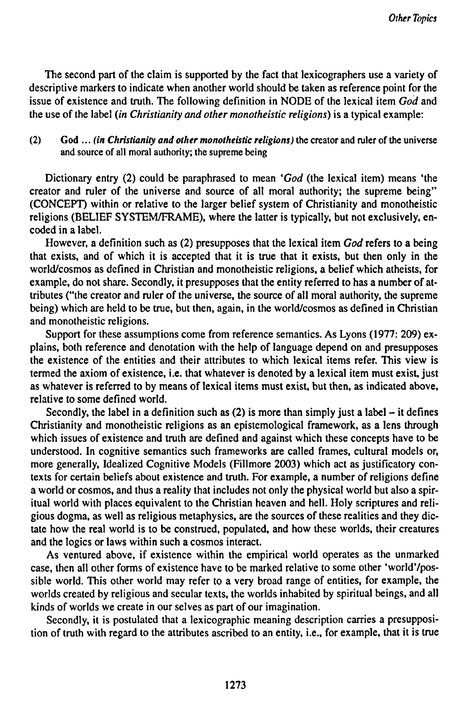The second part of the claim is supported by the fact that lexicographers use a variety of descriptive markers to indicate when another world should be taken as reference point for the issue of existence and truth. The following definition in NODE of the lexical item *God* and the use of the label *(in Christianity and other monotheistic religions)* is a typical example:

## (2) God ... *(in Christianity and other monotheistic religions)* the creator and ruler of the universe and source of all moral authority; the supreme being

Dictionary entry (2) could be paraphrased to mean *'God* (the lexical item) means 'the creator and ruler of the universe and source of all moral authority; the supreme being" (CONCEPT) within or relative to the larger belief system of Christianity and monotheistic religions (BELIEF SYSTEM/FRAME), where the latter is typically, but not exclusively, encoded in a label.

However, a definition such as (2) presupposes that the lexical item *God* refers to a being that exists, and of which it is accepted that it is true that it exists, but then only in the world/cosmos as defined in Christian and monotheistic religions, a belief which atheists, for example, do not share. Secondly, it presupposes that the entity referred to has a number of attributes ("the creator and ruler of the universe, the source of all moral authority, the supreme being) which are held to be true, but then, again, in the world/cosmos as defined in Christian and monotheistic religions.

Support for these assumptions come from reference semantics. As Lyons (1977: 209) explains, both reference and denotation with the help of language depend on and presupposes the existence of the entities and their attributes to which lexical items refer. This view is termed the axiom of existence, i.e. that whatever is denoted by a lexical item must exist, just as whatever is referred to by means of lexical items must exist, but then, as indicated above, relative to some defined world.

Secondly, the label in a definition such as  $(2)$  is more than simply just a label – it defines Christianity and monotheistic religions as an epistemological framework, as a lens through which issues of existence and truth are defined and against which these concepts have to be understood. In cognitive semantics such frameworks are called frames, cultural models or, more generally, Idealized Cognitive Models (Fillmore 2003) which act as justificatory contexts for certain beliefs about existence and truth. For example, a number of religions define a world or cosmos, and thus a reality that includes not only the physical world but also a spiritual world with places equivalent to the Christian heaven and hell. Holy scriptures and religious dogma, as well as religious metaphysics, are the sources of these realities and they dictate how the real world is to be construed, populated, and how these worlds, their creatures and the logics or laws within such a cosmos interact.

As ventured above, if existence within the empirical world operates as the unmarked case, then all other forms of existence have to be marked relative to some other 'world'/possible world. This other world may refer to a very broad range of entities, for example, the worlds created by religious and secular texts, the worlds inhabited by spiritual beings, and all kinds of worlds we create in our selves as part of our imagination.

Secondly, it is postulated that a lexicographic meaning description carries a presupposition of truth with regard to the attributes ascribed to an entity, i.e., for example, that it is true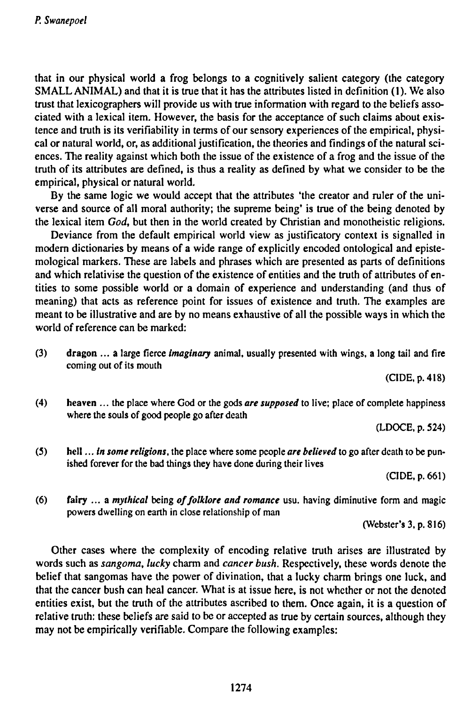**that in our physical world a frog belongs to a cognitively salient category (the category SMALL ANIMAL) and that it is true that it has the attributes listed in definition (1). We also trust that lexicographers will provide us with true information with regard to the beliefs associated with a lexical item. However, the basis for the acceptance of such claims about existence and truth is its verifiability in terms of our sensory experiences of the empirical, physical or natural world, or, as additional justification, the theories and findings ofthe natural sci**ences. The reality against which both the issue of the existence of a frog and the issue of the truth of its attributes are defined, is thus a reality as defined by what we consider to be the **empirical, physical or natural world.**

**By the same logic we would accept that the attributes 'the creator and ruler of the universe and source of all moral authority; the supreme being' is true of the being denoted by the lexical item** *God,* **but then in the world created by Christian and monotheistic religions.**

**Deviance from the default empirical world view as justificatory context is signalled in modern dictionaries by means of a wide range of explicitly encoded ontological and epistemologica! markers. These are labels and phrases which are presented as parts of definitions and which relativise the question of the existence of entities and the truth of attributes of entities to some possible world or a domain of experience and understanding (and thus of meaning) that acts as reference point for issues of existence and truth. The examples are meant to be illustrative and are by no means exhaustive of all the possible ways in which the world of reference can be marked:**

**(3) dragon ... a large fierce** *imaginary* **animal, usually presented with wings, a long tail and fire coming out of its mouth**

**(CIDE.p.418)**

**(4) heaven ... the place where God or the gods** *are supposed* **to live; place of complete happiness where the souls of good people go after death**

**(LDOCE. p. 524)**

(5) hell ... in some religions, the place where some people are believed to go after death to be pun**ished forever for the bad things they have done during their lives**

**(CIDE,p.661)**

**(6) fairy ••• a** *mythical* **being** *offolklore and romance* **usu. having diminutive form and magic powers dwelling on earth in close relationship of man**

**(Webster's 3, p. 816)**

**Other cases where the complexity of encoding relative truth arises are illustrated by words such as** *sangoma, lucky* **charm and** *cancer bush.* **Respectively, these words denote the belief that sangomas have the power of divination, that a lucky charm brings one luck, and** that the cancer bush can heal cancer. What is at issue here, is not whether or not the denoted **entities exist, but the truth of the attributes ascribed to them. Once again, it is a question of relative truth: these beliefs are said to be or accepted as true by certain sources, although they may not be empirically verifiable. Compare the following examples:**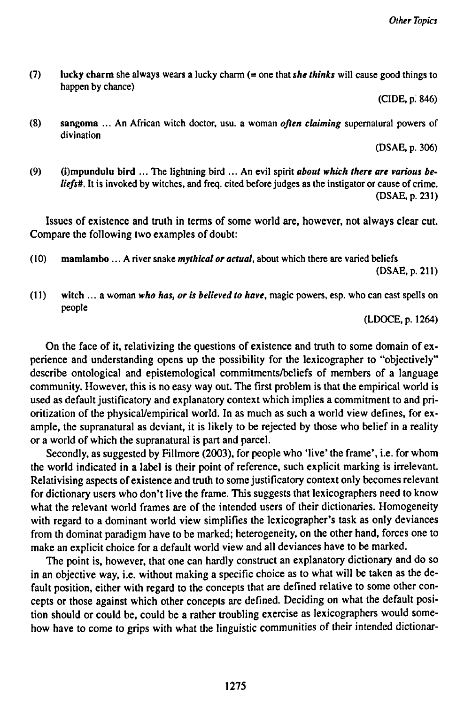(7) lucky charm she always wears a lucky charm (= one that she thinks will cause good things to **happen by chance)**

**(CIDE, p. 846)**

**(8) sangoma ... An African witch doctor, usu. a woman** *often claiming* **supernatural powers of divination**

**(DSAE, p. 306)**

**(9) (i)mpundulu bird ... The lightning bird ... An evil spirit** *about which there are various be*liefs#. It is invoked by witches, and freq. cited before judges as the instigator or cause of crime. **(DSAE, p. 231)**

**Issues of existence and truth in terms of some world are, however, not always clear cut. Compare the following two examples of doubt:**

- **( 10) mamlambo ... A river snake** *mythical or actual,* **about which there are varied beliefs (DSAE, p. 211)**
- $(11)$  witch ... a woman who has, or is believed to have, magic powers, esp. who can cast spells on **people**

**(LDOCE,p. 1264)**

**On the face of it, relativizing the questions of existence and truth to some domain of experience and understanding opens up the possibility for the lexicographer to "objectively" describe ontological and epistemological commitments/beliefs of members of a language community. However, this is no easy way out. The first problem is that the empirical world is used as default justificatory and explanatory context which implies a commitment to and prioritization of the physical/empirical world. In as much as such a world view defines, for example, the supranatural as deviant, it is likely to be rejected by those who belief in a reality or a world of which the supranatural is part and parcel.**

**Secondly, as suggested by Fillmore (2003), for people who 'live\* the frame', i.e. for whom the world indicated in a label is their point of reference, such explicit marking is irrelevant. Relativising aspects of existence and truth to some justificatory context only becomes relevant for dictionary users who don't live the frame. This suggests that lexicographers need to know what the relevant world frames are of the intended users of their dictionaries. Homogeneity with regard to a dominant world view simplifies the lexicographer's task as only deviances from th dominat paradigm have to be marked; heterogeneity, on the other hand, forces one to make an explicit choice for a default world view and all deviances have to be marked.**

**The point is, however, that one can hardly construct an explanatory dictionary and do so** in an objective way, i.e. without making a specific choice as to what will be taken as the de**fault position, either with regard to the concepts that are defined relative to some other concepts or those against which other concepts are defined. Deciding on what the default position should or could be, could be a rather troubling exercise as lexicographers would somehow have to come to grips with what the linguistic communities of their intended dictionar-**